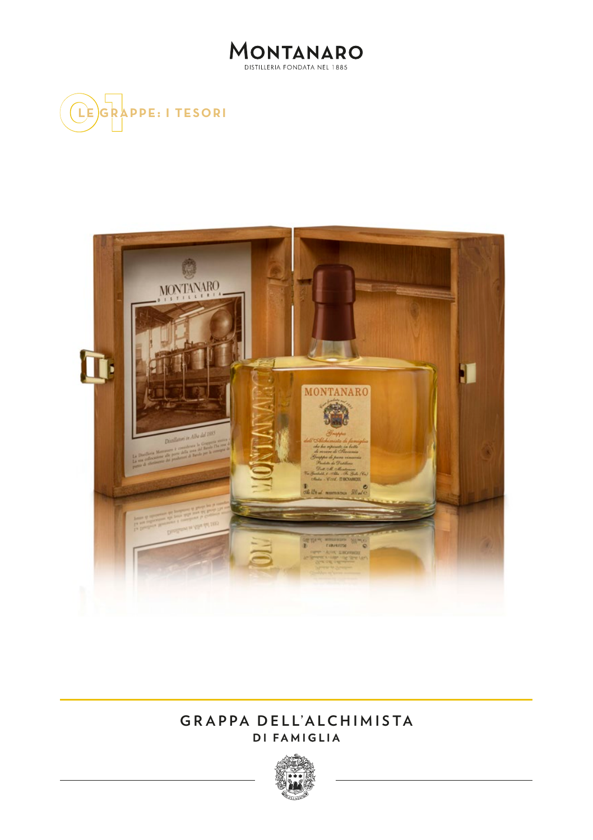





## **GRAPPA DELL'ALCHIMISTA DI FAMIGLIA**